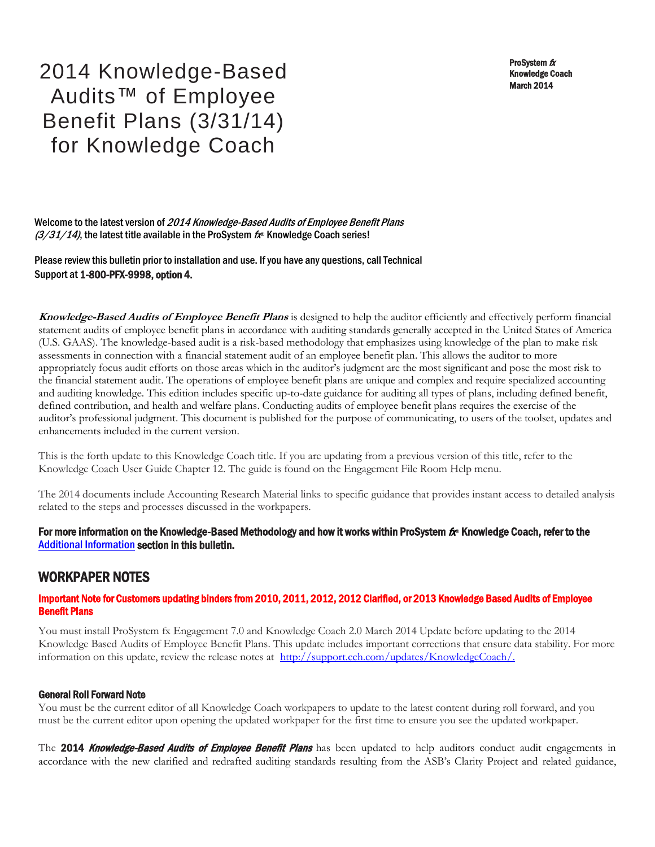ProSystem  $$ Knowledge Coach March 2014

2014 Knowledge-Based Audits™ of Employee Benefit Plans (3/31/14) for Knowledge Coach

Welcome to the latest version of 2014 Knowledge-Based Audits of Employee Benefit Plans  $(3/31/14)$ , the latest title available in the ProSystem  $f_{\text{R}}$  Knowledge Coach series!

Please review this bulletin prior to installation and use. If you have any questions, call Technical Support at 1-800-PFX-9998, option 4.

**Knowledge-Based Audits of Employee Benefit Plans** is designed to help the auditor efficiently and effectively perform financial statement audits of employee benefit plans in accordance with auditing standards generally accepted in the United States of America (U.S. GAAS). The knowledge-based audit is a risk-based methodology that emphasizes using knowledge of the plan to make risk assessments in connection with a financial statement audit of an employee benefit plan. This allows the auditor to more appropriately focus audit efforts on those areas which in the auditor's judgment are the most significant and pose the most risk to the financial statement audit. The operations of employee benefit plans are unique and complex and require specialized accounting and auditing knowledge. This edition includes specific up-to-date guidance for auditing all types of plans, including defined benefit, defined contribution, and health and welfare plans. Conducting audits of employee benefit plans requires the exercise of the auditor's professional judgment. This document is published for the purpose of communicating, to users of the toolset, updates and enhancements included in the current version.

This is the forth update to this Knowledge Coach title. If you are updating from a previous version of this title, refer to the Knowledge Coach User Guide Chapter 12. The guide is found on the Engagement File Room Help menu.

The 2014 documents include Accounting Research Material links to specific guidance that provides instant access to detailed analysis related to the steps and processes discussed in the workpapers.

### For more information on the Knowledge-Based Methodology and how it works within ProSystem  $f_\text{R}$  Knowledge Coach, refer to the [Additional Information s](#page-2-0)ection in this bulletin.

# WORKPAPER NOTES

### Important Note for Customers updating binders from 2010, 2011, 2012, 2012 Clarified, or 2013 Knowledge Based Audits of Employee Benefit Plans

You must install ProSystem fx Engagement 7.0 and Knowledge Coach 2.0 March 2014 Update before updating to the 2014 Knowledge Based Audits of Employee Benefit Plans. This update includes important corrections that ensure data stability. For more information on this update, review the release notes at [http://support.cch.com/updates/KnowledgeCoach/.](http://support.cch.com/updates/KnowledgeCoach/)

#### General Roll Forward Note

You must be the current editor of all Knowledge Coach workpapers to update to the latest content during roll forward, and you must be the current editor upon opening the updated workpaper for the first time to ensure you see the updated workpaper.

The 2014 Knowledge-Based Audits of Employee Benefit Plans has been updated to help auditors conduct audit engagements in accordance with the new clarified and redrafted auditing standards resulting from the ASB's Clarity Project and related guidance,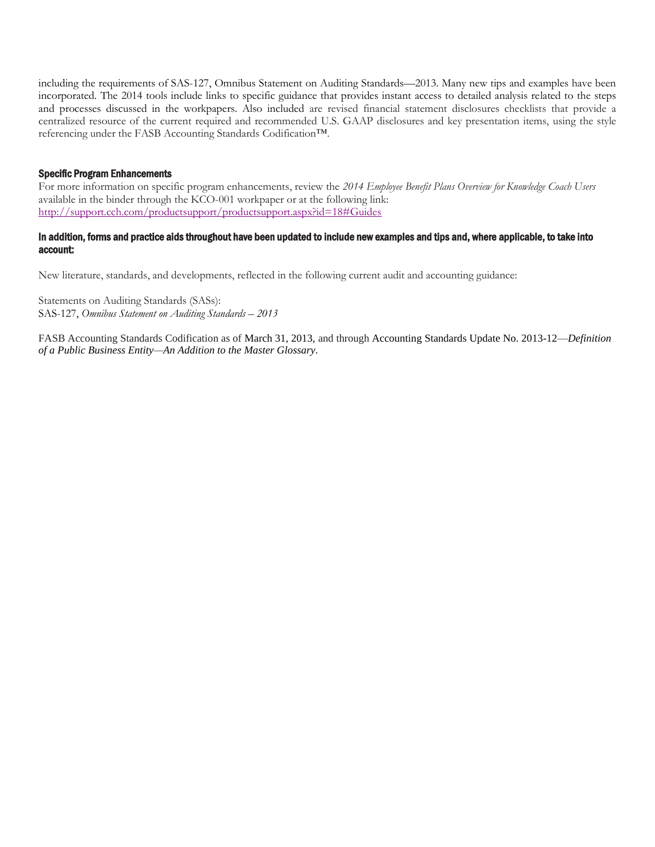including the requirements of SAS-127, Omnibus Statement on Auditing Standards—2013. Many new tips and examples have been incorporated. The 2014 tools include links to specific guidance that provides instant access to detailed analysis related to the steps and processes discussed in the workpapers. Also included are revised financial statement disclosures checklists that provide a centralized resource of the current required and recommended U.S. GAAP disclosures and key presentation items, using the style referencing under the FASB Accounting Standards Codification™.

#### Specific Program Enhancements

For more information on specific program enhancements, review the *2014 Employee Benefit Plans Overview for Knowledge Coach Users*  available in the binder through the KCO-001 workpaper or at the following link: <http://support.cch.com/productsupport/productsupport.aspx?id=18#Guides>

#### In addition, forms and practice aids throughout have been updated to include new examples and tips and, where applicable, to take into account:

New literature, standards, and developments, reflected in the following current audit and accounting guidance:

Statements on Auditing Standards (SASs): SAS-127, *Omnibus Statement on Auditing Standards – 2013*

FASB Accounting Standards Codification as of March 31, 2013, and through Accounting Standards Update No. 2013-12—*Definition of a Public Business Entity—An Addition to the Master Glossary.*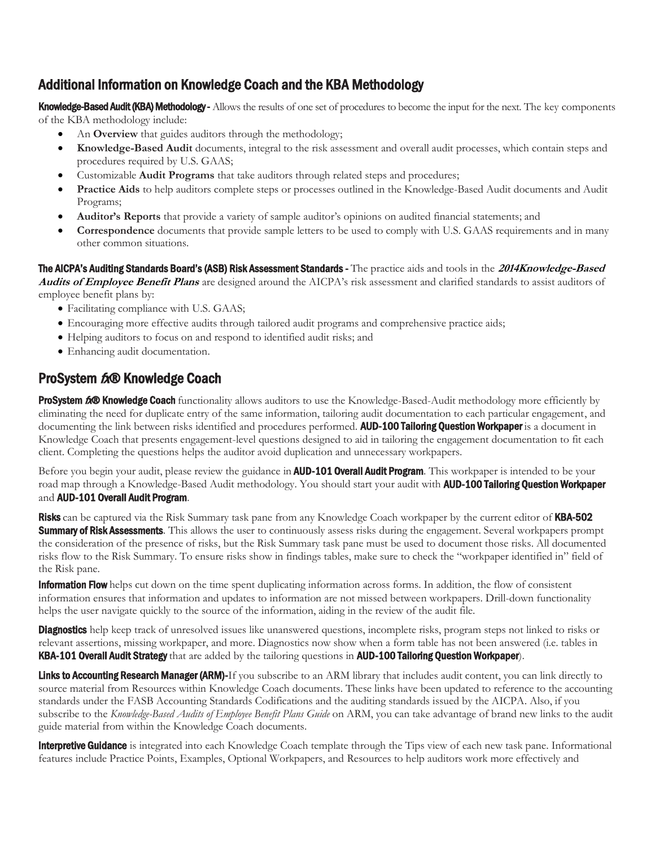# <span id="page-2-0"></span>Additional Information on Knowledge Coach and the KBA Methodology

Knowledge-Based Audit (KBA) Methodology - Allows the results of one set of procedures to become the input for the next. The key components of the KBA methodology include:

- An **Overview** that guides auditors through the methodology;
- **Knowledge-Based Audit** documents, integral to the risk assessment and overall audit processes, which contain steps and procedures required by U.S. GAAS;
- Customizable **Audit Programs** that take auditors through related steps and procedures;
- **Practice Aids** to help auditors complete steps or processes outlined in the Knowledge-Based Audit documents and Audit Programs;
- **Auditor's Reports** that provide a variety of sample auditor's opinions on audited financial statements; and
- **Correspondence** documents that provide sample letters to be used to comply with U.S. GAAS requirements and in many other common situations.

The AICPA's Auditing Standards Board's (ASB) Risk Assessment Standards - The practice aids and tools in the **2014Knowledge-Based Audits of Employee Benefit Plans** are designed around the AICPA's risk assessment and clarified standards to assist auditors of

employee benefit plans by:

- Facilitating compliance with U.S. GAAS;
- Encouraging more effective audits through tailored audit programs and comprehensive practice aids;
- Helping auditors to focus on and respond to identified audit risks; and
- Enhancing audit documentation.

# ProSystem tx® Knowledge Coach

ProSystem 600 Knowledge Coach functionality allows auditors to use the Knowledge-Based-Audit methodology more efficiently by eliminating the need for duplicate entry of the same information, tailoring audit documentation to each particular engagement, and documenting the link between risks identified and procedures performed. **AUD-100 Tailoring Question Workpaper** is a document in Knowledge Coach that presents engagement-level questions designed to aid in tailoring the engagement documentation to fit each client. Completing the questions helps the auditor avoid duplication and unnecessary workpapers.

Before you begin your audit, please review the guidance in **AUD-101 Overall Audit Program**. This workpaper is intended to be your road map through a Knowledge-Based Audit methodology. You should start your audit with **AUD-100 Tailoring Question Workpaper** and AUD-101 Overall Audit Program.

Risks can be captured via the Risk Summary task pane from any Knowledge Coach workpaper by the current editor of KBA-502 **Summary of Risk Assessments**. This allows the user to continuously assess risks during the engagement. Several workpapers prompt the consideration of the presence of risks, but the Risk Summary task pane must be used to document those risks. All documented risks flow to the Risk Summary. To ensure risks show in findings tables, make sure to check the "workpaper identified in" field of the Risk pane.

**Information Flow** helps cut down on the time spent duplicating information across forms. In addition, the flow of consistent information ensures that information and updates to information are not missed between workpapers. Drill-down functionality helps the user navigate quickly to the source of the information, aiding in the review of the audit file.

**Diagnostics** help keep track of unresolved issues like unanswered questions, incomplete risks, program steps not linked to risks or relevant assertions, missing workpaper, and more. Diagnostics now show when a form table has not been answered (i.e. tables in KBA-101 Overall Audit Strategy that are added by the tailoring questions in AUD-100 Tailoring Question Workpaper).

Links to Accounting Research Manager (ARM)-If you subscribe to an ARM library that includes audit content, you can link directly to source material from Resources within Knowledge Coach documents. These links have been updated to reference to the accounting standards under the FASB Accounting Standards Codifications and the auditing standards issued by the AICPA. Also, if you subscribe to the *Knowledge-Based Audits of Employee Benefit Plans Guide* on ARM, you can take advantage of brand new links to the audit guide material from within the Knowledge Coach documents.

**Interpretive Guidance** is integrated into each Knowledge Coach template through the Tips view of each new task pane. Informational features include Practice Points, Examples, Optional Workpapers, and Resources to help auditors work more effectively and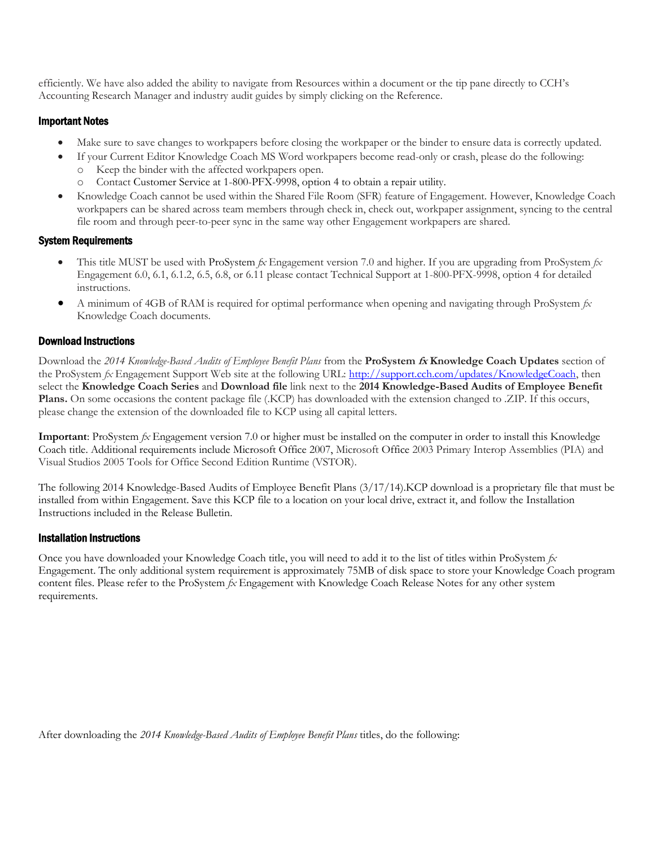efficiently. We have also added the ability to navigate from Resources within a document or the tip pane directly to CCH's Accounting Research Manager and industry audit guides by simply clicking on the Reference.

### Important Notes

- Make sure to save changes to workpapers before closing the workpaper or the binder to ensure data is correctly updated.
- If your Current Editor Knowledge Coach MS Word workpapers become read-only or crash, please do the following: o Keep the binder with the affected workpapers open.
	- o Contact Customer Service at 1-800-PFX-9998, option 4 to obtain a repair utility.
- Knowledge Coach cannot be used within the Shared File Room (SFR) feature of Engagement. However, Knowledge Coach workpapers can be shared across team members through check in, check out, workpaper assignment, syncing to the central file room and through peer-to-peer sync in the same way other Engagement workpapers are shared.

### System Requirements

- This title MUST be used with ProSystem *fx* Engagement version 7.0 and higher. If you are upgrading from ProSystem *fx*  Engagement 6.0, 6.1, 6.1.2, 6.5, 6.8, or 6.11 please contact Technical Support at 1-800-PFX-9998, option 4 for detailed instructions.
- A minimum of 4GB of RAM is required for optimal performance when opening and navigating through ProSystem *fx*  Knowledge Coach documents.

### Download Instructions

Download the *2014 Knowledge-Based Audits of Employee Benefit Plans* from the **ProSystem fx Knowledge Coach Updates** section of the ProSystem *fx* Engagement Support Web site at the following URL: [http://support.cch.com/updates/KnowledgeCoach,](http://support.cch.com/updates/KnowledgeCoach) then select the **Knowledge Coach Series** and **Download file** link next to the **2014 Knowledge-Based Audits of Employee Benefit Plans.** On some occasions the content package file (.KCP) has downloaded with the extension changed to .ZIP. If this occurs, please change the extension of the downloaded file to KCP using all capital letters.

**Important**: ProSystem *fx* Engagement version 7.0 or higher must be installed on the computer in order to install this Knowledge Coach title. Additional requirements include Microsoft Office 2007, Microsoft Office 2003 Primary Interop Assemblies (PIA) and Visual Studios 2005 Tools for Office Second Edition Runtime (VSTOR).

The following 2014 Knowledge-Based Audits of Employee Benefit Plans (3/17/14).KCP download is a proprietary file that must be installed from within Engagement. Save this KCP file to a location on your local drive, extract it, and follow the Installation Instructions included in the Release Bulletin.

#### Installation Instructions

Once you have downloaded your Knowledge Coach title, you will need to add it to the list of titles within ProSystem *fx*  Engagement. The only additional system requirement is approximately 75MB of disk space to store your Knowledge Coach program content files. Please refer to the ProSystem *fx* Engagement with Knowledge Coach Release Notes for any other system requirements.

After downloading the *2014 Knowledge-Based Audits of Employee Benefit Plans* titles, do the following: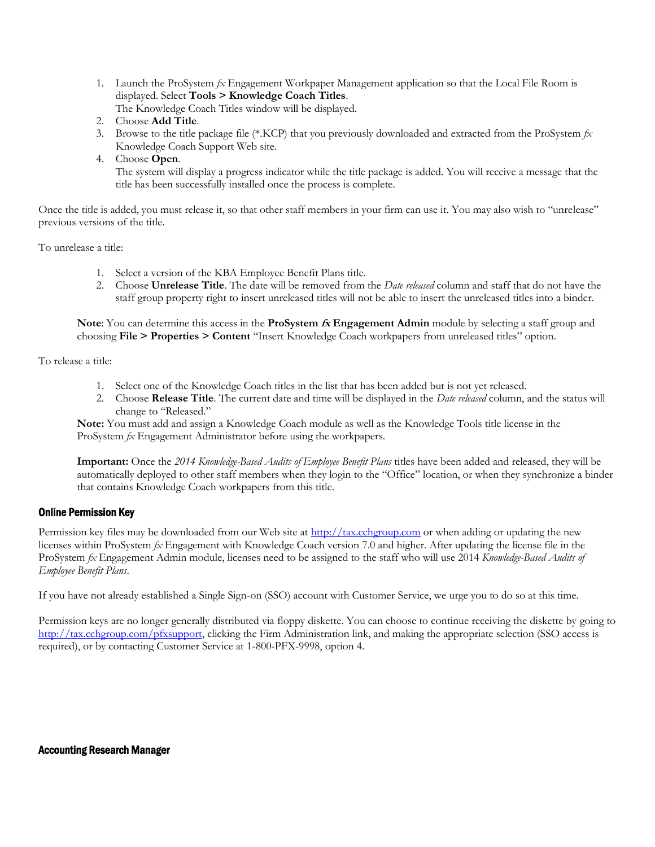1. Launch the ProSystem *fx* Engagement Workpaper Management application so that the Local File Room is displayed. Select **Tools > Knowledge Coach Titles**.

The Knowledge Coach Titles window will be displayed.

- 2. Choose **Add Title**.
- 3. Browse to the title package file (\*.KCP) that you previously downloaded and extracted from the ProSystem *fx*  Knowledge Coach Support Web site.
- 4. Choose **Open**.

 The system will display a progress indicator while the title package is added. You will receive a message that the title has been successfully installed once the process is complete.

Once the title is added, you must release it, so that other staff members in your firm can use it. You may also wish to "unrelease" previous versions of the title.

To unrelease a title:

- 1. Select a version of the KBA Employee Benefit Plans title.
- 2. Choose **Unrelease Title**. The date will be removed from the *Date released* column and staff that do not have the staff group property right to insert unreleased titles will not be able to insert the unreleased titles into a binder.

**Note**: You can determine this access in the **ProSystem fx Engagement Admin** module by selecting a staff group and choosing **File > Properties > Content** "Insert Knowledge Coach workpapers from unreleased titles" option.

To release a title:

- 1. Select one of the Knowledge Coach titles in the list that has been added but is not yet released.
- 2. Choose **Release Title**. The current date and time will be displayed in the *Date released* column, and the status will change to "Released."

**Note:** You must add and assign a Knowledge Coach module as well as the Knowledge Tools title license in the ProSystem *fx* Engagement Administrator before using the workpapers.

**Important:** Once the *2014 Knowledge-Based Audits of Employee Benefit Plans* titles have been added and released, they will be automatically deployed to other staff members when they login to the "Office" location, or when they synchronize a binder that contains Knowledge Coach workpapers from this title.

# Online Permission Key

Permission key files may be downloaded from our Web site a[t http://tax.cchgroup.com](http://tax.cchgroup.com/) or when adding or updating the new licenses within ProSystem *fx* Engagement with Knowledge Coach version 7.0 and higher. After updating the license file in the ProSystem *fx* Engagement Admin module, licenses need to be assigned to the staff who will use 2014 *Knowledge-Based Audits of Employee Benefit Plans*.

If you have not already established a Single Sign-on (SSO) account with Customer Service, we urge you to do so at this time.

Permission keys are no longer generally distributed via floppy diskette. You can choose to continue receiving the diskette by going to [http://tax.cchgroup.com/pfxsupport,](http://tax.cchgroup.com/pfxsupport) clicking the Firm Administration link, and making the appropriate selection (SSO access is required), or by contacting Customer Service at 1-800-PFX-9998, option 4.

#### Accounting Research Manager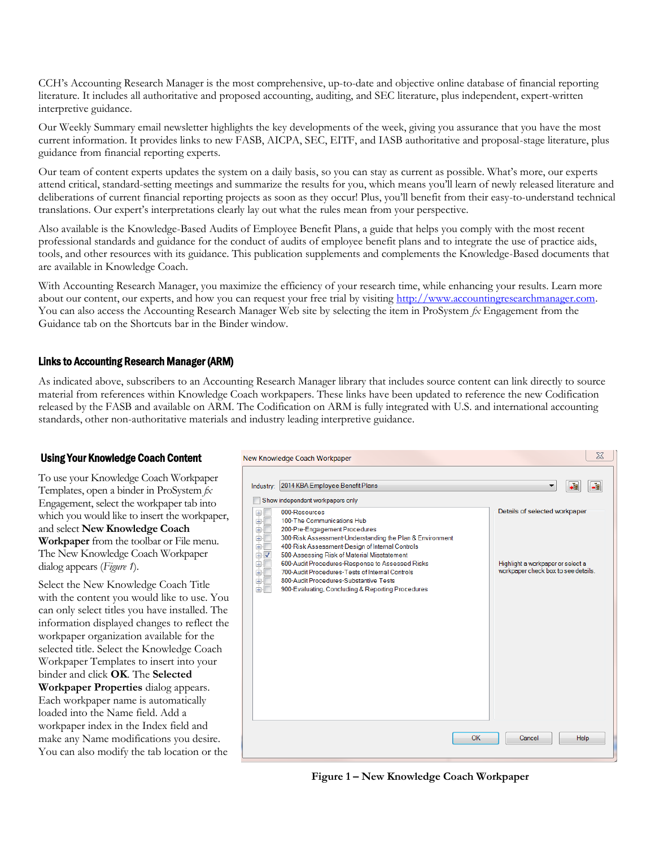CCH's Accounting Research Manager is the most comprehensive, up-to-date and objective online database of financial reporting literature. It includes all authoritative and proposed accounting, auditing, and SEC literature, plus independent, expert-written interpretive guidance.

Our Weekly Summary email newsletter highlights the key developments of the week, giving you assurance that you have the most current information. It provides links to new FASB, AICPA, SEC, EITF, and IASB authoritative and proposal-stage literature, plus guidance from financial reporting experts.

Our team of content experts updates the system on a daily basis, so you can stay as current as possible. What's more, our experts attend critical, standard-setting meetings and summarize the results for you, which means you'll learn of newly released literature and deliberations of current financial reporting projects as soon as they occur! Plus, you'll benefit from their easy-to-understand technical translations. Our expert's interpretations clearly lay out what the rules mean from your perspective.

Also available is the Knowledge-Based Audits of Employee Benefit Plans, a guide that helps you comply with the most recent professional standards and guidance for the conduct of audits of employee benefit plans and to integrate the use of practice aids, tools, and other resources with its guidance. This publication supplements and complements the Knowledge-Based documents that are available in Knowledge Coach.

With Accounting Research Manager, you maximize the efficiency of your research time, while enhancing your results. Learn more about our content, our experts, and how you can request your free trial by visiting [http://www.accountingresearchmanager.com.](http://www.accountingresearchmanager.com/)  You can also access the Accounting Research Manager Web site by selecting the item in ProSystem  $f_x$  Engagement from the Guidance tab on the Shortcuts bar in the Binder window.

# Links to Accounting Research Manager (ARM)

As indicated above, subscribers to an Accounting Research Manager library that includes source content can link directly to source material from references within Knowledge Coach workpapers. These links have been updated to reference the new Codification released by the FASB and available on ARM. The Codification on ARM is fully integrated with U.S. and international accounting standards, other non-authoritative materials and industry leading interpretive guidance.

# Using Your Knowledge Coach Content

To use your Knowledge Coach Workpaper Templates, open a binder in ProSystem *fx*  Engagement, select the workpaper tab into which you would like to insert the workpaper, and select **New Knowledge Coach Workpaper** from the toolbar or File menu. The New Knowledge Coach Workpaper dialog appears (*Figure 1*).

Select the New Knowledge Coach Title with the content you would like to use. You can only select titles you have installed. The information displayed changes to reflect the workpaper organization available for the selected title. Select the Knowledge Coach Workpaper Templates to insert into your binder and click **OK**. The **Selected Workpaper Properties** dialog appears. Each workpaper name is automatically loaded into the Name field. Add a workpaper index in the Index field and make any Name modifications you desire. You can also modify the tab location or the



**Figure 1 – New Knowledge Coach Workpaper**